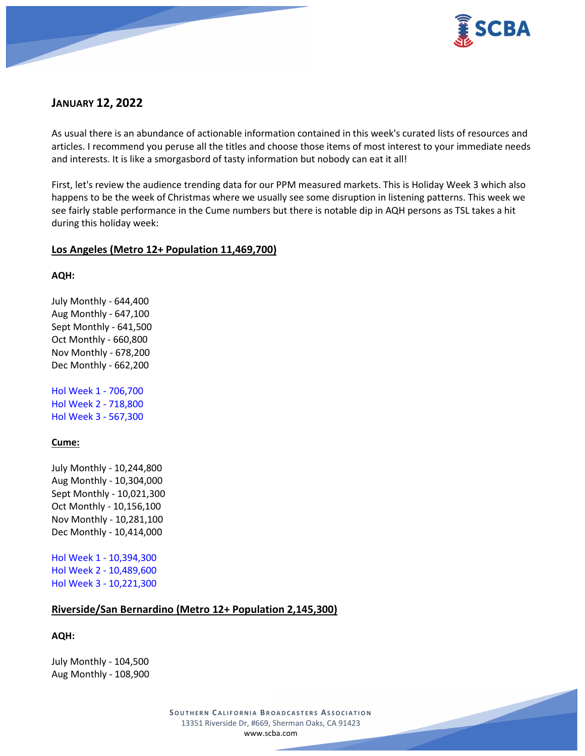

# **JANUARY 12, 2022**

As usual there is an abundance of actionable information contained in this week's curated lists of resources and articles. I recommend you peruse all the titles and choose those items of most interest to your immediate needs and interests. It is like a smorgasbord of tasty information but nobody can eat it all!

First, let's review the audience trending data for our PPM measured markets. This is Holiday Week 3 which also happens to be the week of Christmas where we usually see some disruption in listening patterns. This week we see fairly stable performance in the Cume numbers but there is notable dip in AQH persons as TSL takes a hit during this holiday week:

## **Los Angeles (Metro 12+ Population 11,469,700)**

**AQH:**

July Monthly - 644,400 Aug Monthly - 647,100 Sept Monthly - 641,500 Oct Monthly - 660,800 Nov Monthly - 678,200 Dec Monthly - 662,200

Hol Week 1 - 706,700 Hol Week 2 - 718,800 Hol Week 3 - 567,300

### **Cume:**

July Monthly - 10,244,800 Aug Monthly - 10,304,000 Sept Monthly - 10,021,300 Oct Monthly - 10,156,100 Nov Monthly - 10,281,100 Dec Monthly - 10,414,000

Hol Week 1 - 10,394,300 Hol Week 2 - 10,489,600 Hol Week 3 - 10,221,300

### **Riverside/San Bernardino (Metro 12+ Population 2,145,300)**

**AQH:**

July Monthly - 104,500 Aug Monthly - 108,900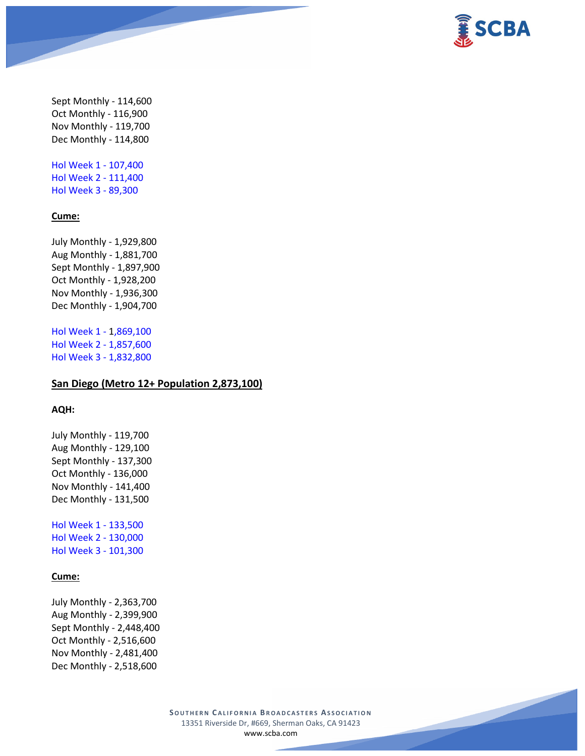

Sept Monthly - 114,600 Oct Monthly - 116,900 Nov Monthly - 119,700 Dec Monthly - 114,800

Hol Week 1 - 107,400 Hol Week 2 - 111,400 Hol Week 3 - 89,300

#### **Cume:**

July Monthly - 1,929,800 Aug Monthly - 1,881,700 Sept Monthly - 1,897,900 Oct Monthly - 1,928,200 Nov Monthly - 1,936,300 Dec Monthly - 1,904,700

Hol Week 1 - 1,869,100 Hol Week 2 - 1,857,600 Hol Week 3 - 1,832,800

### **San Diego (Metro 12+ Population 2,873,100)**

### **AQH:**

July Monthly - 119,700 Aug Monthly - 129,100 Sept Monthly - 137,300 Oct Monthly - 136,000 Nov Monthly - 141,400 Dec Monthly - 131,500

Hol Week 1 - 133,500 Hol Week 2 - 130,000 Hol Week 3 - 101,300

#### **Cume:**

July Monthly - 2,363,700 Aug Monthly - 2,399,900 Sept Monthly - 2,448,400 Oct Monthly - 2,516,600 Nov Monthly - 2,481,400 Dec Monthly - 2,518,600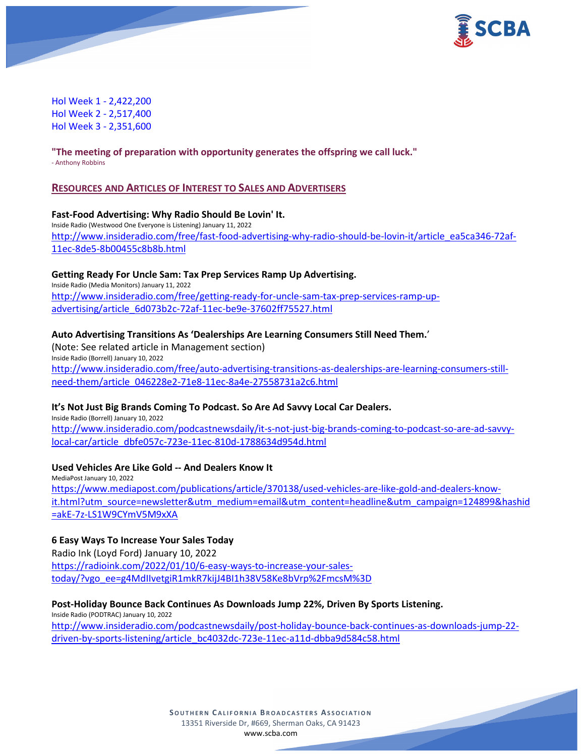

Hol Week 1 - 2,422,200 Hol Week 2 - 2,517,400 Hol Week 3 - 2,351,600

**"The meeting of preparation with opportunity generates the offspring we call luck."** - Anthony Robbins

### **RESOURCES AND ARTICLES OF INTEREST TO SALES AND ADVERTISERS**

#### **Fast-Food Advertising: Why Radio Should Be Lovin' It.**

Inside Radio (Westwood One Everyone is Listening) January 11, 2022 [http://www.insideradio.com/free/fast-food-advertising-why-radio-should-be-lovin-it/article\\_ea5ca346-72af-](http://www.insideradio.com/free/fast-food-advertising-why-radio-should-be-lovin-it/article_ea5ca346-72af-11ec-8de5-8b00455c8b8b.html)[11ec-8de5-8b00455c8b8b.html](http://www.insideradio.com/free/fast-food-advertising-why-radio-should-be-lovin-it/article_ea5ca346-72af-11ec-8de5-8b00455c8b8b.html)

#### **Getting Ready For Uncle Sam: Tax Prep Services Ramp Up Advertising.**

Inside Radio (Media Monitors) January 11, 2022 [http://www.insideradio.com/free/getting-ready-for-uncle-sam-tax-prep-services-ramp-up](http://www.insideradio.com/free/getting-ready-for-uncle-sam-tax-prep-services-ramp-up-advertising/article_6d073b2c-72af-11ec-be9e-37602ff75527.html)[advertising/article\\_6d073b2c-72af-11ec-be9e-37602ff75527.html](http://www.insideradio.com/free/getting-ready-for-uncle-sam-tax-prep-services-ramp-up-advertising/article_6d073b2c-72af-11ec-be9e-37602ff75527.html)

### **Auto Advertising Transitions As 'Dealerships Are Learning Consumers Still Need Them.**'

(Note: See related article in Management section) Inside Radio (Borrell) January 10, 2022 [http://www.insideradio.com/free/auto-advertising-transitions-as-dealerships-are-learning-consumers-still](http://www.insideradio.com/free/auto-advertising-transitions-as-dealerships-are-learning-consumers-still-need-them/article_046228e2-71e8-11ec-8a4e-27558731a2c6.html)[need-them/article\\_046228e2-71e8-11ec-8a4e-27558731a2c6.html](http://www.insideradio.com/free/auto-advertising-transitions-as-dealerships-are-learning-consumers-still-need-them/article_046228e2-71e8-11ec-8a4e-27558731a2c6.html)

#### **It's Not Just Big Brands Coming To Podcast. So Are Ad Savvy Local Car Dealers.**

Inside Radio (Borrell) January 10, 2022 [http://www.insideradio.com/podcastnewsdaily/it-s-not-just-big-brands-coming-to-podcast-so-are-ad-savvy](http://www.insideradio.com/podcastnewsdaily/it-s-not-just-big-brands-coming-to-podcast-so-are-ad-savvy-local-car/article_dbfe057c-723e-11ec-810d-1788634d954d.html)[local-car/article\\_dbfe057c-723e-11ec-810d-1788634d954d.html](http://www.insideradio.com/podcastnewsdaily/it-s-not-just-big-brands-coming-to-podcast-so-are-ad-savvy-local-car/article_dbfe057c-723e-11ec-810d-1788634d954d.html)

## **Used Vehicles Are Like Gold -- And Dealers Know It**

MediaPost January 10, 2022 [https://www.mediapost.com/publications/article/370138/used-vehicles-are-like-gold-and-dealers-know](https://www.mediapost.com/publications/article/370138/used-vehicles-are-like-gold-and-dealers-know-it.html?utm_source=newsletter&utm_medium=email&utm_content=headline&utm_campaign=124899&hashid=akE-7z-LS1W9CYmV5M9xXA)[it.html?utm\\_source=newsletter&utm\\_medium=email&utm\\_content=headline&utm\\_campaign=124899&hashid](https://www.mediapost.com/publications/article/370138/used-vehicles-are-like-gold-and-dealers-know-it.html?utm_source=newsletter&utm_medium=email&utm_content=headline&utm_campaign=124899&hashid=akE-7z-LS1W9CYmV5M9xXA) [=akE-7z-LS1W9CYmV5M9xXA](https://www.mediapost.com/publications/article/370138/used-vehicles-are-like-gold-and-dealers-know-it.html?utm_source=newsletter&utm_medium=email&utm_content=headline&utm_campaign=124899&hashid=akE-7z-LS1W9CYmV5M9xXA)

### **6 Easy Ways To Increase Your Sales Today**

Radio Ink (Loyd Ford) January 10, 2022 [https://radioink.com/2022/01/10/6-easy-ways-to-increase-your-sales](https://radioink.com/2022/01/10/6-easy-ways-to-increase-your-sales-today/?vgo_ee=g4MdIIvetgiR1mkR7kijJ4BI1h38V58Ke8bVrp%2FmcsM%3D)[today/?vgo\\_ee=g4MdIIvetgiR1mkR7kijJ4BI1h38V58Ke8bVrp%2FmcsM%3D](https://radioink.com/2022/01/10/6-easy-ways-to-increase-your-sales-today/?vgo_ee=g4MdIIvetgiR1mkR7kijJ4BI1h38V58Ke8bVrp%2FmcsM%3D)

#### **Post-Holiday Bounce Back Continues As Downloads Jump 22%, Driven By Sports Listening.**

Inside Radio (PODTRAC) January 10, 2022 [http://www.insideradio.com/podcastnewsdaily/post-holiday-bounce-back-continues-as-downloads-jump-22](http://www.insideradio.com/podcastnewsdaily/post-holiday-bounce-back-continues-as-downloads-jump-22-driven-by-sports-listening/article_bc4032dc-723e-11ec-a11d-dbba9d584c58.html) [driven-by-sports-listening/article\\_bc4032dc-723e-11ec-a11d-dbba9d584c58.html](http://www.insideradio.com/podcastnewsdaily/post-holiday-bounce-back-continues-as-downloads-jump-22-driven-by-sports-listening/article_bc4032dc-723e-11ec-a11d-dbba9d584c58.html)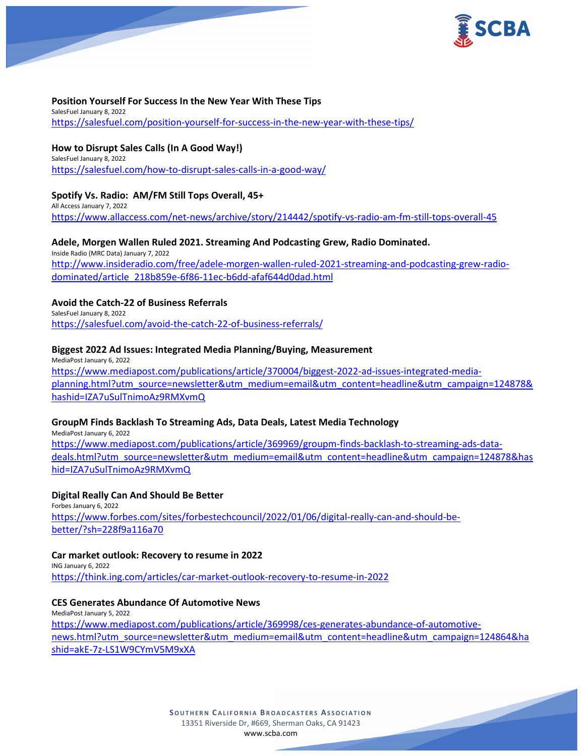

#### **Position Yourself For Success In the New Year With These Tips**

SalesFuel January 8, 2022 <https://salesfuel.com/position-yourself-for-success-in-the-new-year-with-these-tips/>

**How to Disrupt Sales Calls (In A Good Way!)** SalesFuel January 8, 2022 <https://salesfuel.com/how-to-disrupt-sales-calls-in-a-good-way/>

## **Spotify Vs. Radio: AM/FM Still Tops Overall, 45+**

All Access January 7, 2022 <https://www.allaccess.com/net-news/archive/story/214442/spotify-vs-radio-am-fm-still-tops-overall-45>

### **Adele, Morgen Wallen Ruled 2021. Streaming And Podcasting Grew, Radio Dominated.**

Inside Radio (MRC Data) January 7, 2022 [http://www.insideradio.com/free/adele-morgen-wallen-ruled-2021-streaming-and-podcasting-grew-radio](http://www.insideradio.com/free/adele-morgen-wallen-ruled-2021-streaming-and-podcasting-grew-radio-dominated/article_218b859e-6f86-11ec-b6dd-afaf644d0dad.html)[dominated/article\\_218b859e-6f86-11ec-b6dd-afaf644d0dad.html](http://www.insideradio.com/free/adele-morgen-wallen-ruled-2021-streaming-and-podcasting-grew-radio-dominated/article_218b859e-6f86-11ec-b6dd-afaf644d0dad.html)

### **Avoid the Catch-22 of Business Referrals**

SalesFuel January 8, 2022 <https://salesfuel.com/avoid-the-catch-22-of-business-referrals/>

### **Biggest 2022 Ad Issues: Integrated Media Planning/Buying, Measurement**

MediaPost January 6, 2022 [https://www.mediapost.com/publications/article/370004/biggest-2022-ad-issues-integrated-media](https://www.mediapost.com/publications/article/370004/biggest-2022-ad-issues-integrated-media-planning.html?utm_source=newsletter&utm_medium=email&utm_content=headline&utm_campaign=124878&hashid=IZA7uSulTnimoAz9RMXvmQ)[planning.html?utm\\_source=newsletter&utm\\_medium=email&utm\\_content=headline&utm\\_campaign=124878&](https://www.mediapost.com/publications/article/370004/biggest-2022-ad-issues-integrated-media-planning.html?utm_source=newsletter&utm_medium=email&utm_content=headline&utm_campaign=124878&hashid=IZA7uSulTnimoAz9RMXvmQ) [hashid=IZA7uSulTnimoAz9RMXvmQ](https://www.mediapost.com/publications/article/370004/biggest-2022-ad-issues-integrated-media-planning.html?utm_source=newsletter&utm_medium=email&utm_content=headline&utm_campaign=124878&hashid=IZA7uSulTnimoAz9RMXvmQ)

### **GroupM Finds Backlash To Streaming Ads, Data Deals, Latest Media Technology**

MediaPost January 6, 2022 [https://www.mediapost.com/publications/article/369969/groupm-finds-backlash-to-streaming-ads-data](https://www.mediapost.com/publications/article/369969/groupm-finds-backlash-to-streaming-ads-data-deals.html?utm_source=newsletter&utm_medium=email&utm_content=headline&utm_campaign=124878&hashid=IZA7uSulTnimoAz9RMXvmQ)[deals.html?utm\\_source=newsletter&utm\\_medium=email&utm\\_content=headline&utm\\_campaign=124878&has](https://www.mediapost.com/publications/article/369969/groupm-finds-backlash-to-streaming-ads-data-deals.html?utm_source=newsletter&utm_medium=email&utm_content=headline&utm_campaign=124878&hashid=IZA7uSulTnimoAz9RMXvmQ) [hid=IZA7uSulTnimoAz9RMXvmQ](https://www.mediapost.com/publications/article/369969/groupm-finds-backlash-to-streaming-ads-data-deals.html?utm_source=newsletter&utm_medium=email&utm_content=headline&utm_campaign=124878&hashid=IZA7uSulTnimoAz9RMXvmQ)

### **Digital Really Can And Should Be Better**

Forbes January 6, 2022 [https://www.forbes.com/sites/forbestechcouncil/2022/01/06/digital-really-can-and-should-be](https://www.forbes.com/sites/forbestechcouncil/2022/01/06/digital-really-can-and-should-be-better/?sh=228f9a116a70)[better/?sh=228f9a116a70](https://www.forbes.com/sites/forbestechcouncil/2022/01/06/digital-really-can-and-should-be-better/?sh=228f9a116a70)

### **Car market outlook: Recovery to resume in 2022**

ING January 6, 2022 <https://think.ing.com/articles/car-market-outlook-recovery-to-resume-in-2022>

#### **CES Generates Abundance Of Automotive News**

MediaPost January 5, 2022 [https://www.mediapost.com/publications/article/369998/ces-generates-abundance-of-automotive](https://www.mediapost.com/publications/article/369998/ces-generates-abundance-of-automotive-news.html?utm_source=newsletter&utm_medium=email&utm_content=headline&utm_campaign=124864&hashid=akE-7z-LS1W9CYmV5M9xXA)[news.html?utm\\_source=newsletter&utm\\_medium=email&utm\\_content=headline&utm\\_campaign=124864&ha](https://www.mediapost.com/publications/article/369998/ces-generates-abundance-of-automotive-news.html?utm_source=newsletter&utm_medium=email&utm_content=headline&utm_campaign=124864&hashid=akE-7z-LS1W9CYmV5M9xXA) [shid=akE-7z-LS1W9CYmV5M9xXA](https://www.mediapost.com/publications/article/369998/ces-generates-abundance-of-automotive-news.html?utm_source=newsletter&utm_medium=email&utm_content=headline&utm_campaign=124864&hashid=akE-7z-LS1W9CYmV5M9xXA)

> **SOUTHERN C ALIFORNIA B ROADCASTERS ASSOCIATION** 13351 Riverside Dr, #669, Sherman Oaks, CA 91423 [www.scba.com](http://www.scba.com/)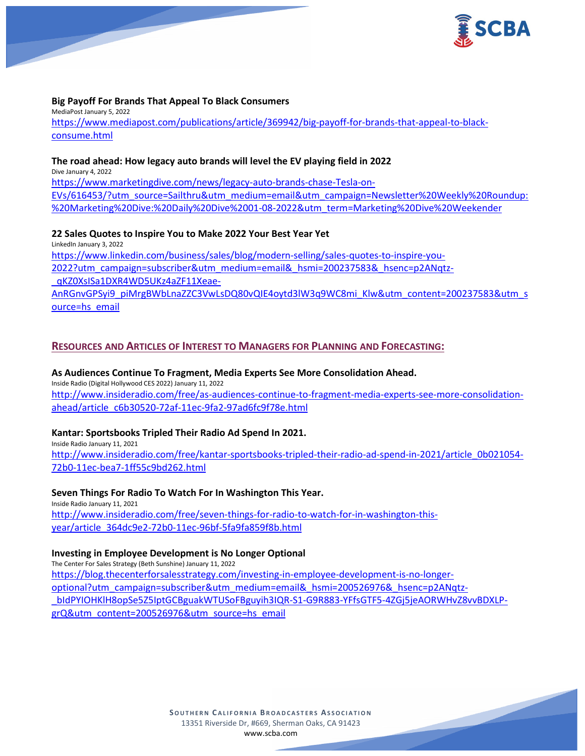

#### **Big Payoff For Brands That Appeal To Black Consumers**

MediaPost January 5, 2022 [https://www.mediapost.com/publications/article/369942/big-payoff-for-brands-that-appeal-to-black](https://www.mediapost.com/publications/article/369942/big-payoff-for-brands-that-appeal-to-black-consume.html)[consume.html](https://www.mediapost.com/publications/article/369942/big-payoff-for-brands-that-appeal-to-black-consume.html)

#### **The road ahead: How legacy auto brands will level the EV playing field in 2022**

Dive January 4, 2022 [https://www.marketingdive.com/news/legacy-auto-brands-chase-Tesla-on-](https://www.marketingdive.com/news/legacy-auto-brands-chase-Tesla-on-EVs/616453/?utm_source=Sailthru&utm_medium=email&utm_campaign=Newsletter%20Weekly%20Roundup:%20Marketing%20Dive:%20Daily%20Dive%2001-08-2022&utm_term=Marketing%20Dive%20Weekender)[EVs/616453/?utm\\_source=Sailthru&utm\\_medium=email&utm\\_campaign=Newsletter%20Weekly%20Roundup:](https://www.marketingdive.com/news/legacy-auto-brands-chase-Tesla-on-EVs/616453/?utm_source=Sailthru&utm_medium=email&utm_campaign=Newsletter%20Weekly%20Roundup:%20Marketing%20Dive:%20Daily%20Dive%2001-08-2022&utm_term=Marketing%20Dive%20Weekender) [%20Marketing%20Dive:%20Daily%20Dive%2001-08-2022&utm\\_term=Marketing%20Dive%20Weekender](https://www.marketingdive.com/news/legacy-auto-brands-chase-Tesla-on-EVs/616453/?utm_source=Sailthru&utm_medium=email&utm_campaign=Newsletter%20Weekly%20Roundup:%20Marketing%20Dive:%20Daily%20Dive%2001-08-2022&utm_term=Marketing%20Dive%20Weekender)

### **22 Sales Quotes to Inspire You to Make 2022 Your Best Year Yet**

LinkedIn January 3, 2022

[https://www.linkedin.com/business/sales/blog/modern-selling/sales-quotes-to-inspire-you-](https://www.linkedin.com/business/sales/blog/modern-selling/sales-quotes-to-inspire-you-2022?utm_campaign=subscriber&utm_medium=email&_hsmi=200237583&_hsenc=p2ANqtz-_qKZ0XsISa1DXR4WD5UKz4aZF11Xeae-AnRGnvGPSyi9_piMrgBWbLnaZZC3VwLsDQ80vQIE4oytd3lW3q9WC8mi_Klw&utm_content=200237583&utm_source=hs_email)[2022?utm\\_campaign=subscriber&utm\\_medium=email&\\_hsmi=200237583&\\_hsenc=p2ANqtz-](https://www.linkedin.com/business/sales/blog/modern-selling/sales-quotes-to-inspire-you-2022?utm_campaign=subscriber&utm_medium=email&_hsmi=200237583&_hsenc=p2ANqtz-_qKZ0XsISa1DXR4WD5UKz4aZF11Xeae-AnRGnvGPSyi9_piMrgBWbLnaZZC3VwLsDQ80vQIE4oytd3lW3q9WC8mi_Klw&utm_content=200237583&utm_source=hs_email) [\\_qKZ0XsISa1DXR4WD5UKz4aZF11Xeae-](https://www.linkedin.com/business/sales/blog/modern-selling/sales-quotes-to-inspire-you-2022?utm_campaign=subscriber&utm_medium=email&_hsmi=200237583&_hsenc=p2ANqtz-_qKZ0XsISa1DXR4WD5UKz4aZF11Xeae-AnRGnvGPSyi9_piMrgBWbLnaZZC3VwLsDQ80vQIE4oytd3lW3q9WC8mi_Klw&utm_content=200237583&utm_source=hs_email)

[AnRGnvGPSyi9\\_piMrgBWbLnaZZC3VwLsDQ80vQIE4oytd3lW3q9WC8mi\\_Klw&utm\\_content=200237583&utm\\_s](https://www.linkedin.com/business/sales/blog/modern-selling/sales-quotes-to-inspire-you-2022?utm_campaign=subscriber&utm_medium=email&_hsmi=200237583&_hsenc=p2ANqtz-_qKZ0XsISa1DXR4WD5UKz4aZF11Xeae-AnRGnvGPSyi9_piMrgBWbLnaZZC3VwLsDQ80vQIE4oytd3lW3q9WC8mi_Klw&utm_content=200237583&utm_source=hs_email) [ource=hs\\_email](https://www.linkedin.com/business/sales/blog/modern-selling/sales-quotes-to-inspire-you-2022?utm_campaign=subscriber&utm_medium=email&_hsmi=200237583&_hsenc=p2ANqtz-_qKZ0XsISa1DXR4WD5UKz4aZF11Xeae-AnRGnvGPSyi9_piMrgBWbLnaZZC3VwLsDQ80vQIE4oytd3lW3q9WC8mi_Klw&utm_content=200237583&utm_source=hs_email)

## **RESOURCES AND ARTICLES OF INTEREST TO MANAGERS FOR PLANNING AND FORECASTING:**

#### **As Audiences Continue To Fragment, Media Experts See More Consolidation Ahead.** Inside Radio (Digital Hollywood CES 2022) January 11, 2022 [http://www.insideradio.com/free/as-audiences-continue-to-fragment-media-experts-see-more-consolidation](http://www.insideradio.com/free/as-audiences-continue-to-fragment-media-experts-see-more-consolidation-ahead/article_c6b30520-72af-11ec-9fa2-97ad6fc9f78e.html)[ahead/article\\_c6b30520-72af-11ec-9fa2-97ad6fc9f78e.html](http://www.insideradio.com/free/as-audiences-continue-to-fragment-media-experts-see-more-consolidation-ahead/article_c6b30520-72af-11ec-9fa2-97ad6fc9f78e.html)

### **Kantar: Sportsbooks Tripled Their Radio Ad Spend In 2021.**

Inside Radio January 11, 2021 [http://www.insideradio.com/free/kantar-sportsbooks-tripled-their-radio-ad-spend-in-2021/article\\_0b021054-](http://www.insideradio.com/free/kantar-sportsbooks-tripled-their-radio-ad-spend-in-2021/article_0b021054-72b0-11ec-bea7-1ff55c9bd262.html) [72b0-11ec-bea7-1ff55c9bd262.html](http://www.insideradio.com/free/kantar-sportsbooks-tripled-their-radio-ad-spend-in-2021/article_0b021054-72b0-11ec-bea7-1ff55c9bd262.html)

#### **Seven Things For Radio To Watch For In Washington This Year.**

Inside Radio January 11, 2021 [http://www.insideradio.com/free/seven-things-for-radio-to-watch-for-in-washington-this](http://www.insideradio.com/free/seven-things-for-radio-to-watch-for-in-washington-this-year/article_364dc9e2-72b0-11ec-96bf-5fa9fa859f8b.html)[year/article\\_364dc9e2-72b0-11ec-96bf-5fa9fa859f8b.html](http://www.insideradio.com/free/seven-things-for-radio-to-watch-for-in-washington-this-year/article_364dc9e2-72b0-11ec-96bf-5fa9fa859f8b.html)

#### **Investing in Employee Development is No Longer Optional**

The Center For Sales Strategy (Beth Sunshine) January 11, 2022 [https://blog.thecenterforsalesstrategy.com/investing-in-employee-development-is-no-longer](https://blog.thecenterforsalesstrategy.com/investing-in-employee-development-is-no-longer-optional?utm_campaign=subscriber&utm_medium=email&_hsmi=200526976&_hsenc=p2ANqtz-_bIdPYIOHKlH8opSe5Z5IptGCBguakWTUSoFBguyih3IQR-S1-G9R883-YFfsGTF5-4ZGj5jeAORWHvZ8vvBDXLP-grQ&utm_content=200526976&utm_source=hs_email)[optional?utm\\_campaign=subscriber&utm\\_medium=email&\\_hsmi=200526976&\\_hsenc=p2ANqtz-](https://blog.thecenterforsalesstrategy.com/investing-in-employee-development-is-no-longer-optional?utm_campaign=subscriber&utm_medium=email&_hsmi=200526976&_hsenc=p2ANqtz-_bIdPYIOHKlH8opSe5Z5IptGCBguakWTUSoFBguyih3IQR-S1-G9R883-YFfsGTF5-4ZGj5jeAORWHvZ8vvBDXLP-grQ&utm_content=200526976&utm_source=hs_email) [\\_bIdPYIOHKlH8opSe5Z5IptGCBguakWTUSoFBguyih3IQR-S1-G9R883-YFfsGTF5-4ZGj5jeAORWHvZ8vvBDXLP](https://blog.thecenterforsalesstrategy.com/investing-in-employee-development-is-no-longer-optional?utm_campaign=subscriber&utm_medium=email&_hsmi=200526976&_hsenc=p2ANqtz-_bIdPYIOHKlH8opSe5Z5IptGCBguakWTUSoFBguyih3IQR-S1-G9R883-YFfsGTF5-4ZGj5jeAORWHvZ8vvBDXLP-grQ&utm_content=200526976&utm_source=hs_email)[grQ&utm\\_content=200526976&utm\\_source=hs\\_email](https://blog.thecenterforsalesstrategy.com/investing-in-employee-development-is-no-longer-optional?utm_campaign=subscriber&utm_medium=email&_hsmi=200526976&_hsenc=p2ANqtz-_bIdPYIOHKlH8opSe5Z5IptGCBguakWTUSoFBguyih3IQR-S1-G9R883-YFfsGTF5-4ZGj5jeAORWHvZ8vvBDXLP-grQ&utm_content=200526976&utm_source=hs_email)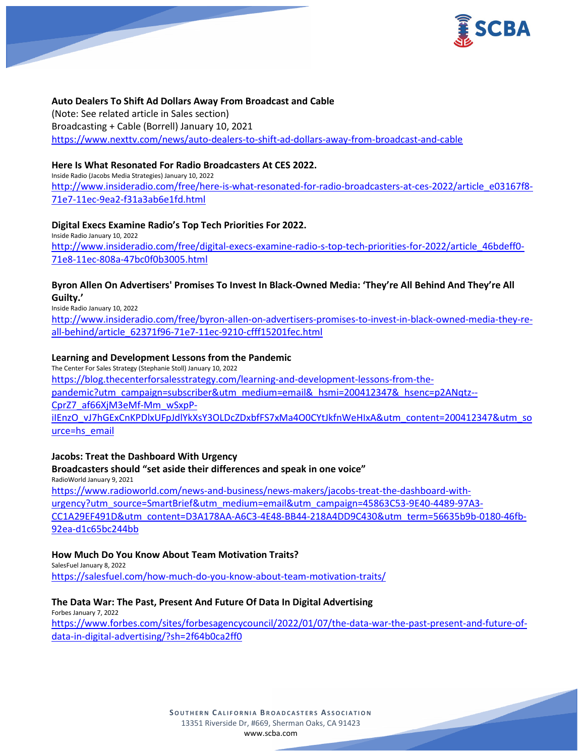

#### **Auto Dealers To Shift Ad Dollars Away From Broadcast and Cable**

(Note: See related article in Sales section) Broadcasting + Cable (Borrell) January 10, 2021 <https://www.nexttv.com/news/auto-dealers-to-shift-ad-dollars-away-from-broadcast-and-cable>

### **Here Is What Resonated For Radio Broadcasters At CES 2022.**

Inside Radio (Jacobs Media Strategies) January 10, 2022 [http://www.insideradio.com/free/here-is-what-resonated-for-radio-broadcasters-at-ces-2022/article\\_e03167f8-](http://www.insideradio.com/free/here-is-what-resonated-for-radio-broadcasters-at-ces-2022/article_e03167f8-71e7-11ec-9ea2-f31a3ab6e1fd.html) [71e7-11ec-9ea2-f31a3ab6e1fd.html](http://www.insideradio.com/free/here-is-what-resonated-for-radio-broadcasters-at-ces-2022/article_e03167f8-71e7-11ec-9ea2-f31a3ab6e1fd.html)

### **Digital Execs Examine Radio's Top Tech Priorities For 2022.**

Inside Radio January 10, 2022 [http://www.insideradio.com/free/digital-execs-examine-radio-s-top-tech-priorities-for-2022/article\\_46bdeff0-](http://www.insideradio.com/free/digital-execs-examine-radio-s-top-tech-priorities-for-2022/article_46bdeff0-71e8-11ec-808a-47bc0f0b3005.html) [71e8-11ec-808a-47bc0f0b3005.html](http://www.insideradio.com/free/digital-execs-examine-radio-s-top-tech-priorities-for-2022/article_46bdeff0-71e8-11ec-808a-47bc0f0b3005.html)

### **Byron Allen On Advertisers' Promises To Invest In Black-Owned Media: 'They're All Behind And They're All Guilty.'**

Inside Radio January 10, 2022

[http://www.insideradio.com/free/byron-allen-on-advertisers-promises-to-invest-in-black-owned-media-they-re](http://www.insideradio.com/free/byron-allen-on-advertisers-promises-to-invest-in-black-owned-media-they-re-all-behind/article_62371f96-71e7-11ec-9210-cfff15201fec.html)[all-behind/article\\_62371f96-71e7-11ec-9210-cfff15201fec.html](http://www.insideradio.com/free/byron-allen-on-advertisers-promises-to-invest-in-black-owned-media-they-re-all-behind/article_62371f96-71e7-11ec-9210-cfff15201fec.html)

### **Learning and Development Lessons from the Pandemic**

The Center For Sales Strategy (Stephanie Stoll) January 10, 2022 [https://blog.thecenterforsalesstrategy.com/learning-and-development-lessons-from-the](https://blog.thecenterforsalesstrategy.com/learning-and-development-lessons-from-the-pandemic?utm_campaign=subscriber&utm_medium=email&_hsmi=200412347&_hsenc=p2ANqtz--CprZ7_af66XjM3eMf-Mm_wSxpP-iIEnzO_vJ7hGExCnKPDlxUFpJdlYkXsY3OLDcZDxbfFS7xMa4O0CYtJkfnWeHIxA&utm_content=200412347&utm_source=hs_email)[pandemic?utm\\_campaign=subscriber&utm\\_medium=email&\\_hsmi=200412347&\\_hsenc=p2ANqtz--](https://blog.thecenterforsalesstrategy.com/learning-and-development-lessons-from-the-pandemic?utm_campaign=subscriber&utm_medium=email&_hsmi=200412347&_hsenc=p2ANqtz--CprZ7_af66XjM3eMf-Mm_wSxpP-iIEnzO_vJ7hGExCnKPDlxUFpJdlYkXsY3OLDcZDxbfFS7xMa4O0CYtJkfnWeHIxA&utm_content=200412347&utm_source=hs_email) [CprZ7\\_af66XjM3eMf-Mm\\_wSxpP](https://blog.thecenterforsalesstrategy.com/learning-and-development-lessons-from-the-pandemic?utm_campaign=subscriber&utm_medium=email&_hsmi=200412347&_hsenc=p2ANqtz--CprZ7_af66XjM3eMf-Mm_wSxpP-iIEnzO_vJ7hGExCnKPDlxUFpJdlYkXsY3OLDcZDxbfFS7xMa4O0CYtJkfnWeHIxA&utm_content=200412347&utm_source=hs_email)[iIEnzO\\_vJ7hGExCnKPDlxUFpJdlYkXsY3OLDcZDxbfFS7xMa4O0CYtJkfnWeHIxA&utm\\_content=200412347&utm\\_so](https://blog.thecenterforsalesstrategy.com/learning-and-development-lessons-from-the-pandemic?utm_campaign=subscriber&utm_medium=email&_hsmi=200412347&_hsenc=p2ANqtz--CprZ7_af66XjM3eMf-Mm_wSxpP-iIEnzO_vJ7hGExCnKPDlxUFpJdlYkXsY3OLDcZDxbfFS7xMa4O0CYtJkfnWeHIxA&utm_content=200412347&utm_source=hs_email) [urce=hs\\_email](https://blog.thecenterforsalesstrategy.com/learning-and-development-lessons-from-the-pandemic?utm_campaign=subscriber&utm_medium=email&_hsmi=200412347&_hsenc=p2ANqtz--CprZ7_af66XjM3eMf-Mm_wSxpP-iIEnzO_vJ7hGExCnKPDlxUFpJdlYkXsY3OLDcZDxbfFS7xMa4O0CYtJkfnWeHIxA&utm_content=200412347&utm_source=hs_email)

### **Jacobs: Treat the Dashboard With Urgency**

**Broadcasters should "set aside their differences and speak in one voice"** RadioWorld January 9, 2021 [https://www.radioworld.com/news-and-business/news-makers/jacobs-treat-the-dashboard-with](https://www.radioworld.com/news-and-business/news-makers/jacobs-treat-the-dashboard-with-urgency?utm_source=SmartBrief&utm_medium=email&utm_campaign=45863C53-9E40-4489-97A3-CC1A29EF491D&utm_content=D3A178AA-A6C3-4E48-BB44-218A4DD9C430&utm_term=56635b9b-0180-46fb-92ea-d1c65bc244bb)[urgency?utm\\_source=SmartBrief&utm\\_medium=email&utm\\_campaign=45863C53-9E40-4489-97A3-](https://www.radioworld.com/news-and-business/news-makers/jacobs-treat-the-dashboard-with-urgency?utm_source=SmartBrief&utm_medium=email&utm_campaign=45863C53-9E40-4489-97A3-CC1A29EF491D&utm_content=D3A178AA-A6C3-4E48-BB44-218A4DD9C430&utm_term=56635b9b-0180-46fb-92ea-d1c65bc244bb) [CC1A29EF491D&utm\\_content=D3A178AA-A6C3-4E48-BB44-218A4DD9C430&utm\\_term=56635b9b-0180-46fb-](https://www.radioworld.com/news-and-business/news-makers/jacobs-treat-the-dashboard-with-urgency?utm_source=SmartBrief&utm_medium=email&utm_campaign=45863C53-9E40-4489-97A3-CC1A29EF491D&utm_content=D3A178AA-A6C3-4E48-BB44-218A4DD9C430&utm_term=56635b9b-0180-46fb-92ea-d1c65bc244bb)[92ea-d1c65bc244bb](https://www.radioworld.com/news-and-business/news-makers/jacobs-treat-the-dashboard-with-urgency?utm_source=SmartBrief&utm_medium=email&utm_campaign=45863C53-9E40-4489-97A3-CC1A29EF491D&utm_content=D3A178AA-A6C3-4E48-BB44-218A4DD9C430&utm_term=56635b9b-0180-46fb-92ea-d1c65bc244bb)

### **How Much Do You Know About Team Motivation Traits?**

SalesFuel January 8, 2022 <https://salesfuel.com/how-much-do-you-know-about-team-motivation-traits/>

### **The Data War: The Past, Present And Future Of Data In Digital Advertising**

Forbes January 7, 2022 [https://www.forbes.com/sites/forbesagencycouncil/2022/01/07/the-data-war-the-past-present-and-future-of](https://www.forbes.com/sites/forbesagencycouncil/2022/01/07/the-data-war-the-past-present-and-future-of-data-in-digital-advertising/?sh=2f64b0ca2ff0)[data-in-digital-advertising/?sh=2f64b0ca2ff0](https://www.forbes.com/sites/forbesagencycouncil/2022/01/07/the-data-war-the-past-present-and-future-of-data-in-digital-advertising/?sh=2f64b0ca2ff0)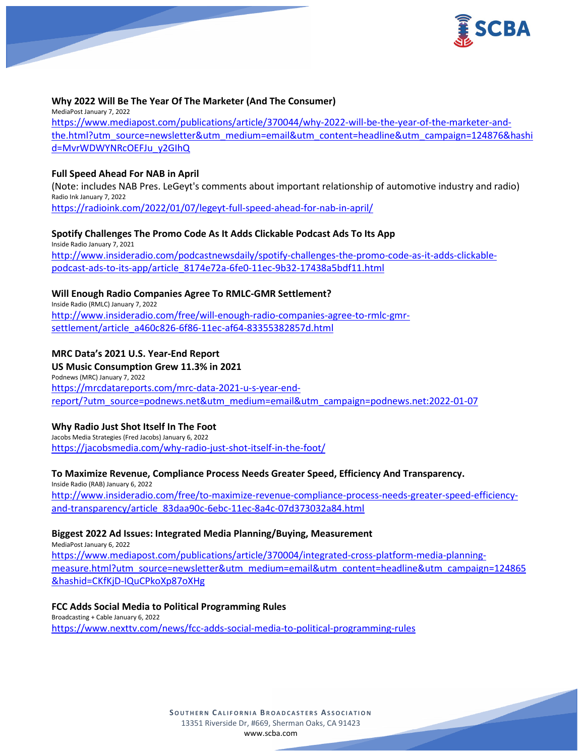

#### **Why 2022 Will Be The Year Of The Marketer (And The Consumer)**

MediaPost January 7, 2022 [https://www.mediapost.com/publications/article/370044/why-2022-will-be-the-year-of-the-marketer-and](https://www.mediapost.com/publications/article/370044/why-2022-will-be-the-year-of-the-marketer-and-the.html?utm_source=newsletter&utm_medium=email&utm_content=headline&utm_campaign=124876&hashid=MvrWDWYNRcOEFJu_y2GIhQ)[the.html?utm\\_source=newsletter&utm\\_medium=email&utm\\_content=headline&utm\\_campaign=124876&hashi](https://www.mediapost.com/publications/article/370044/why-2022-will-be-the-year-of-the-marketer-and-the.html?utm_source=newsletter&utm_medium=email&utm_content=headline&utm_campaign=124876&hashid=MvrWDWYNRcOEFJu_y2GIhQ) [d=MvrWDWYNRcOEFJu\\_y2GIhQ](https://www.mediapost.com/publications/article/370044/why-2022-will-be-the-year-of-the-marketer-and-the.html?utm_source=newsletter&utm_medium=email&utm_content=headline&utm_campaign=124876&hashid=MvrWDWYNRcOEFJu_y2GIhQ)

### **Full Speed Ahead For NAB in April**

(Note: includes NAB Pres. LeGeyt's comments about important relationship of automotive industry and radio) Radio Ink January 7, 2022 <https://radioink.com/2022/01/07/legeyt-full-speed-ahead-for-nab-in-april/>

#### **Spotify Challenges The Promo Code As It Adds Clickable Podcast Ads To Its App**

Inside Radio January 7, 2021 [http://www.insideradio.com/podcastnewsdaily/spotify-challenges-the-promo-code-as-it-adds-clickable](http://www.insideradio.com/podcastnewsdaily/spotify-challenges-the-promo-code-as-it-adds-clickable-podcast-ads-to-its-app/article_8174e72a-6fe0-11ec-9b32-17438a5bdf11.html)[podcast-ads-to-its-app/article\\_8174e72a-6fe0-11ec-9b32-17438a5bdf11.html](http://www.insideradio.com/podcastnewsdaily/spotify-challenges-the-promo-code-as-it-adds-clickable-podcast-ads-to-its-app/article_8174e72a-6fe0-11ec-9b32-17438a5bdf11.html)

### **Will Enough Radio Companies Agree To RMLC-GMR Settlement?**

Inside Radio (RMLC) January 7, 2022 [http://www.insideradio.com/free/will-enough-radio-companies-agree-to-rmlc-gmr](http://www.insideradio.com/free/will-enough-radio-companies-agree-to-rmlc-gmr-settlement/article_a460c826-6f86-11ec-af64-83355382857d.html)[settlement/article\\_a460c826-6f86-11ec-af64-83355382857d.html](http://www.insideradio.com/free/will-enough-radio-companies-agree-to-rmlc-gmr-settlement/article_a460c826-6f86-11ec-af64-83355382857d.html)

### **MRC Data's 2021 U.S. Year-End Report**

**US Music Consumption Grew 11.3% in 2021** Podnews (MRC) January 7, 2022 [https://mrcdatareports.com/mrc-data-2021-u-s-year-end](https://mrcdatareports.com/mrc-data-2021-u-s-year-end-report/?utm_source=podnews.net&utm_medium=email&utm_campaign=podnews.net:2022-01-07)[report/?utm\\_source=podnews.net&utm\\_medium=email&utm\\_campaign=podnews.net:2022-01-07](https://mrcdatareports.com/mrc-data-2021-u-s-year-end-report/?utm_source=podnews.net&utm_medium=email&utm_campaign=podnews.net:2022-01-07)

#### **Why Radio Just Shot Itself In The Foot**

Jacobs Media Strategies (Fred Jacobs) January 6, 2022 <https://jacobsmedia.com/why-radio-just-shot-itself-in-the-foot/>

### **To Maximize Revenue, Compliance Process Needs Greater Speed, Efficiency And Transparency.**

Inside Radio (RAB) January 6, 2022 [http://www.insideradio.com/free/to-maximize-revenue-compliance-process-needs-greater-speed-efficiency](http://www.insideradio.com/free/to-maximize-revenue-compliance-process-needs-greater-speed-efficiency-and-transparency/article_83daa90c-6ebc-11ec-8a4c-07d373032a84.html)[and-transparency/article\\_83daa90c-6ebc-11ec-8a4c-07d373032a84.html](http://www.insideradio.com/free/to-maximize-revenue-compliance-process-needs-greater-speed-efficiency-and-transparency/article_83daa90c-6ebc-11ec-8a4c-07d373032a84.html)

### **Biggest 2022 Ad Issues: Integrated Media Planning/Buying, Measurement**

MediaPost January 6, 2022 [https://www.mediapost.com/publications/article/370004/integrated-cross-platform-media-planning](https://www.mediapost.com/publications/article/370004/integrated-cross-platform-media-planning-measure.html?utm_source=newsletter&utm_medium=email&utm_content=headline&utm_campaign=124865&hashid=CKfKjD-IQuCPkoXp87oXHg)[measure.html?utm\\_source=newsletter&utm\\_medium=email&utm\\_content=headline&utm\\_campaign=124865](https://www.mediapost.com/publications/article/370004/integrated-cross-platform-media-planning-measure.html?utm_source=newsletter&utm_medium=email&utm_content=headline&utm_campaign=124865&hashid=CKfKjD-IQuCPkoXp87oXHg) [&hashid=CKfKjD-IQuCPkoXp87oXHg](https://www.mediapost.com/publications/article/370004/integrated-cross-platform-media-planning-measure.html?utm_source=newsletter&utm_medium=email&utm_content=headline&utm_campaign=124865&hashid=CKfKjD-IQuCPkoXp87oXHg)

### **FCC Adds Social Media to Political Programming Rules**

Broadcasting + Cable January 6, 2022 <https://www.nexttv.com/news/fcc-adds-social-media-to-political-programming-rules>